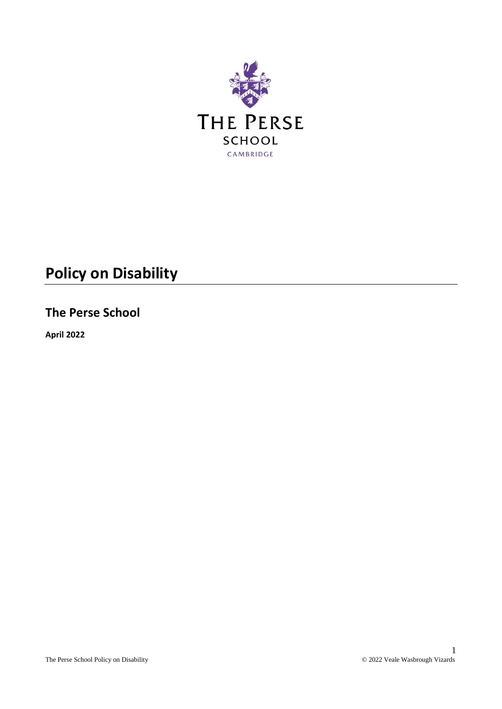

# **Policy on Disability**

# **The Perse School**

**April 2022**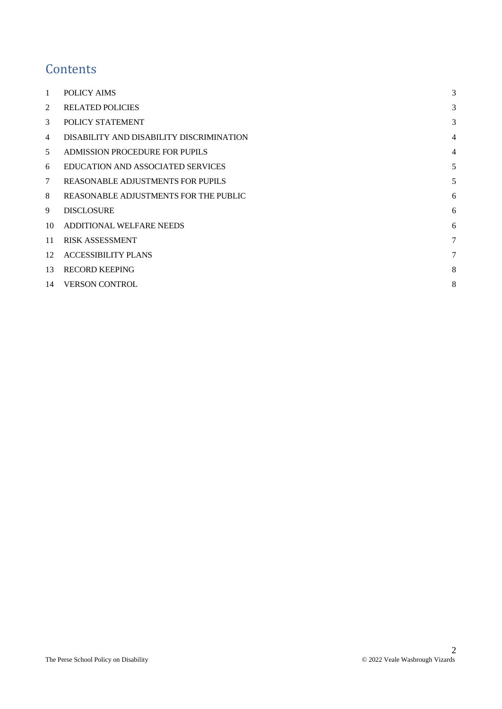# **Contents**

| 1  | POLICY AIMS                              | 3              |
|----|------------------------------------------|----------------|
| 2  | <b>RELATED POLICIES</b>                  | 3              |
| 3  | POLICY STATEMENT                         | 3              |
| 4  | DISABILITY AND DISABILITY DISCRIMINATION | $\overline{4}$ |
| 5  | <b>ADMISSION PROCEDURE FOR PUPILS</b>    | $\overline{4}$ |
| 6  | <b>EDUCATION AND ASSOCIATED SERVICES</b> | 5              |
| 7  | REASONABLE ADJUSTMENTS FOR PUPILS        | 5              |
| 8  | REASONABLE ADJUSTMENTS FOR THE PUBLIC    | 6              |
| 9  | <b>DISCLOSURE</b>                        | 6              |
| 10 | ADDITIONAL WELFARE NEEDS                 | 6              |
| 11 | <b>RISK ASSESSMENT</b>                   | 7              |
| 12 | <b>ACCESSIBILITY PLANS</b>               | 7              |
| 13 | <b>RECORD KEEPING</b>                    | 8              |
| 14 | <b>VERSON CONTROL</b>                    | 8              |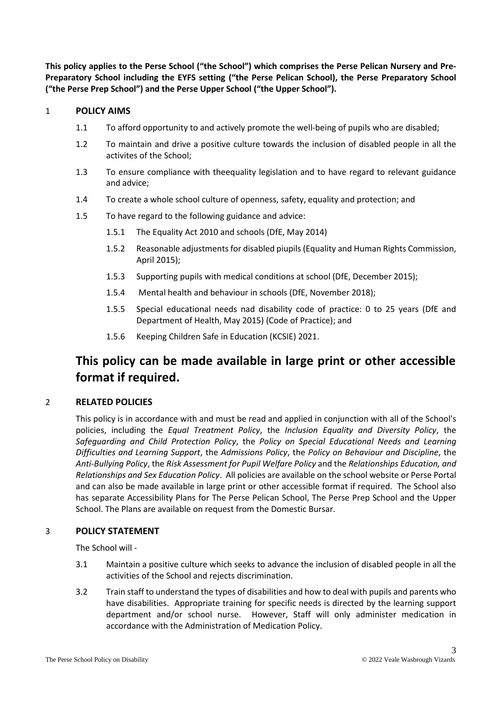**This policy applies to the Perse School ("the School") which comprises the Perse Pelican Nursery and Pre-Preparatory School including the EYFS setting ("the Perse Pelican School), the Perse Preparatory School ("the Perse Prep School") and the Perse Upper School ("the Upper School").**

### <span id="page-2-0"></span>1 **POLICY AIMS**

- 1.1 To afford opportunity to and actively promote the well-being of pupils who are disabled;
- 1.2 To maintain and drive a positive culture towards the inclusion of disabled people in all the activites of the School;
- 1.3 To ensure compliance with theequality legislation and to have regard to relevant guidance and advice;
- 1.4 To create a whole school culture of openness, safety, equality and protection; and
- 1.5 To have regard to the following guidance and advice:
	- 1.5.1 The Equality Act 2010 and schools (DfE, May 2014)
	- 1.5.2 Reasonable adjustments for disabled piupils (Equality and Human Rights Commission, April 2015);
	- 1.5.3 Supporting pupils with medical conditions at school (DfE, December 2015);
	- 1.5.4 Mental health and behaviour in schools (DfE, November 2018);
	- 1.5.5 Special educational needs nad disability code of practice: 0 to 25 years (DfE and Department of Health, May 2015) (Code of Practice); and
	- 1.5.6 Keeping Children Safe in Education (KCSIE) 2021.

# **This policy can be made available in large print or other accessible format if required.**

# <span id="page-2-1"></span>2 **RELATED POLICIES**

This policy is in accordance with and must be read and applied in conjunction with all of the School's policies, including the *Equal Treatment Policy*, the *Inclusion Equality and Diversity Policy*, the *Safeguarding and Child Protection Policy*, the *Policy on Special Educational Needs and Learning Difficulties and Learning Support*, the *Admissions Policy*, the *Policy on Behaviour and Discipline*, the *Anti-Bullying Policy*, the *Risk Assessment for Pupil Welfare Policy* and the *Relationships Education, and Relationships and Sex Education Policy*. All policies are available on the school website or Perse Portal and can also be made available in large print or other accessible format if required. The School also has separate Accessibility Plans for The Perse Pelican School, The Perse Prep School and the Upper School. The Plans are available on request from the Domestic Bursar.

# <span id="page-2-2"></span>3 **POLICY STATEMENT**

The School will -

- 3.1 Maintain a positive culture which seeks to advance the inclusion of disabled people in all the activities of the School and rejects discrimination.
- 3.2 Train staff to understand the types of disabilities and how to deal with pupils and parents who have disabilities. Appropriate training for specific needs is directed by the learning support department and/or school nurse. However, Staff will only administer medication in accordance with the Administration of Medication Policy.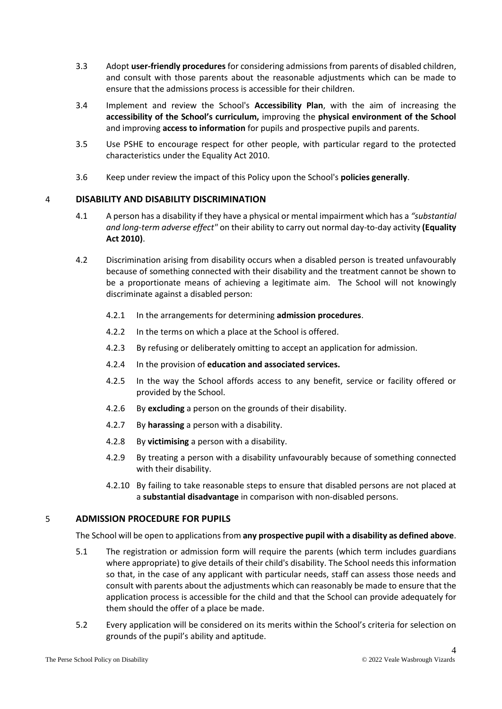- 3.3 Adopt **user-friendly procedures** for considering admissions from parents of disabled children, and consult with those parents about the reasonable adjustments which can be made to ensure that the admissions process is accessible for their children.
- 3.4 Implement and review the School's **Accessibility Plan**, with the aim of increasing the **accessibility of the School's curriculum,** improving the **physical environment of the School**  and improving **access to information** for pupils and prospective pupils and parents.
- 3.5 Use PSHE to encourage respect for other people, with particular regard to the protected characteristics under the Equality Act 2010.
- 3.6 Keep under review the impact of this Policy upon the School's **policies generally**.

# <span id="page-3-0"></span>4 **DISABILITY AND DISABILITY DISCRIMINATION**

- 4.1 A person has a disability if they have a physical or mental impairment which has a *"substantial and long-term adverse effect"* on their ability to carry out normal day-to-day activity **(Equality Act 2010)**.
- 4.2 Discrimination arising from disability occurs when a disabled person is treated unfavourably because of something connected with their disability and the treatment cannot be shown to be a proportionate means of achieving a legitimate aim. The School will not knowingly discriminate against a disabled person:
	- 4.2.1 In the arrangements for determining **admission procedures**.
	- 4.2.2 In the terms on which a place at the School is offered.
	- 4.2.3 By refusing or deliberately omitting to accept an application for admission.
	- 4.2.4 In the provision of **education and associated services.**
	- 4.2.5 In the way the School affords access to any benefit, service or facility offered or provided by the School.
	- 4.2.6 By **excluding** a person on the grounds of their disability.
	- 4.2.7 By **harassing** a person with a disability.
	- 4.2.8 By **victimising** a person with a disability.
	- 4.2.9 By treating a person with a disability unfavourably because of something connected with their disability.
	- 4.2.10 By failing to take reasonable steps to ensure that disabled persons are not placed at a **substantial disadvantage** in comparison with non-disabled persons.

# <span id="page-3-1"></span>5 **ADMISSION PROCEDURE FOR PUPILS**

The School will be open to applications from **any prospective pupil with a disability as defined above**.

- 5.1 The registration or admission form will require the parents (which term includes guardians where appropriate) to give details of their child's disability. The School needs this information so that, in the case of any applicant with particular needs, staff can assess those needs and consult with parents about the adjustments which can reasonably be made to ensure that the application process is accessible for the child and that the School can provide adequately for them should the offer of a place be made.
- 5.2 Every application will be considered on its merits within the School's criteria for selection on grounds of the pupil's ability and aptitude.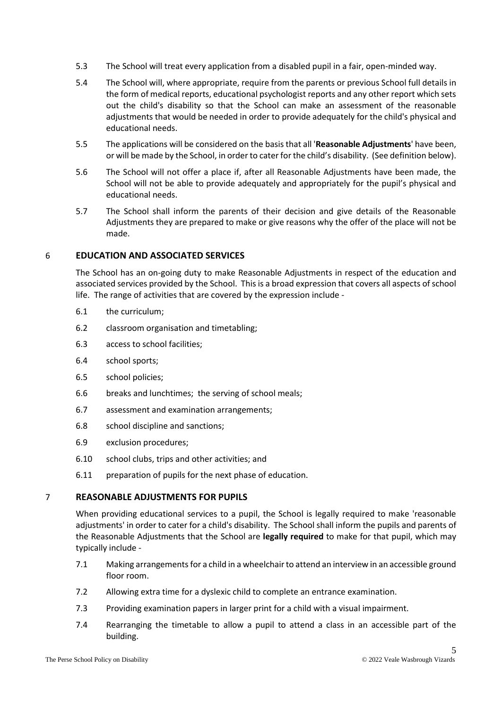- 5.3 The School will treat every application from a disabled pupil in a fair, open-minded way.
- 5.4 The School will, where appropriate, require from the parents or previous School full details in the form of medical reports, educational psychologist reports and any other report which sets out the child's disability so that the School can make an assessment of the reasonable adjustments that would be needed in order to provide adequately for the child's physical and educational needs.
- 5.5 The applications will be considered on the basis that all '**Reasonable Adjustments**' have been, or will be made by the School, in order to cater for the child's disability. (See definition below).
- 5.6 The School will not offer a place if, after all Reasonable Adjustments have been made, the School will not be able to provide adequately and appropriately for the pupil's physical and educational needs.
- 5.7 The School shall inform the parents of their decision and give details of the Reasonable Adjustments they are prepared to make or give reasons why the offer of the place will not be made.

# <span id="page-4-0"></span>6 **EDUCATION AND ASSOCIATED SERVICES**

The School has an on-going duty to make Reasonable Adjustments in respect of the education and associated services provided by the School. This is a broad expression that covers all aspects of school life. The range of activities that are covered by the expression include -

- 6.1 the curriculum;
- 6.2 classroom organisation and timetabling;
- 6.3 access to school facilities;
- 6.4 school sports;
- 6.5 school policies;
- 6.6 breaks and lunchtimes; the serving of school meals;
- 6.7 assessment and examination arrangements;
- 6.8 school discipline and sanctions;
- 6.9 exclusion procedures;
- 6.10 school clubs, trips and other activities; and
- 6.11 preparation of pupils for the next phase of education.

# <span id="page-4-1"></span>7 **REASONABLE ADJUSTMENTS FOR PUPILS**

When providing educational services to a pupil, the School is legally required to make 'reasonable adjustments' in order to cater for a child's disability. The School shall inform the pupils and parents of the Reasonable Adjustments that the School are **legally required** to make for that pupil, which may typically include -

- 7.1 Making arrangements for a child in a wheelchair to attend an interview in an accessible ground floor room.
- 7.2 Allowing extra time for a dyslexic child to complete an entrance examination.
- 7.3 Providing examination papers in larger print for a child with a visual impairment.
- 7.4 Rearranging the timetable to allow a pupil to attend a class in an accessible part of the building.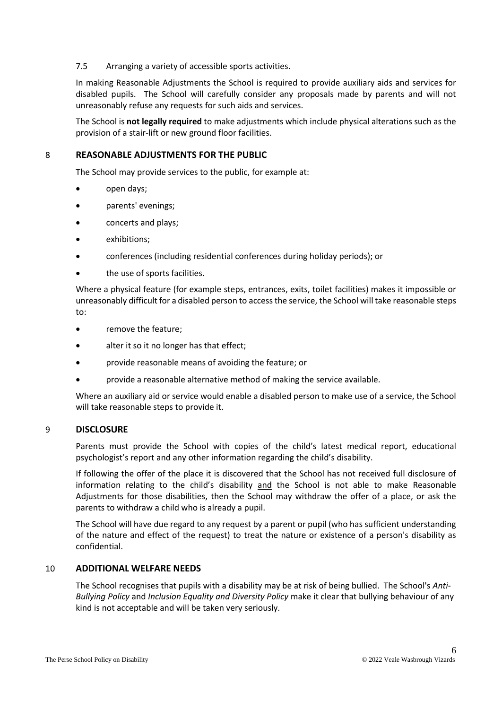#### 7.5 Arranging a variety of accessible sports activities.

In making Reasonable Adjustments the School is required to provide auxiliary aids and services for disabled pupils. The School will carefully consider any proposals made by parents and will not unreasonably refuse any requests for such aids and services.

The School is **not legally required** to make adjustments which include physical alterations such as the provision of a stair-lift or new ground floor facilities.

### <span id="page-5-0"></span>8 **REASONABLE ADJUSTMENTS FOR THE PUBLIC**

The School may provide services to the public, for example at:

- open days;
- parents' evenings;
- concerts and plays;
- exhibitions;
- conferences (including residential conferences during holiday periods); or
- the use of sports facilities.

Where a physical feature (for example steps, entrances, exits, toilet facilities) makes it impossible or unreasonably difficult for a disabled person to access the service, the School will take reasonable steps to:

- remove the feature;
- alter it so it no longer has that effect;
- provide reasonable means of avoiding the feature; or
- provide a reasonable alternative method of making the service available.

Where an auxiliary aid or service would enable a disabled person to make use of a service, the School will take reasonable steps to provide it.

### <span id="page-5-1"></span>9 **DISCLOSURE**

Parents must provide the School with copies of the child's latest medical report, educational psychologist's report and any other information regarding the child's disability.

If following the offer of the place it is discovered that the School has not received full disclosure of information relating to the child's disability and the School is not able to make Reasonable Adjustments for those disabilities, then the School may withdraw the offer of a place, or ask the parents to withdraw a child who is already a pupil.

The School will have due regard to any request by a parent or pupil (who has sufficient understanding of the nature and effect of the request) to treat the nature or existence of a person's disability as confidential.

#### <span id="page-5-2"></span>10 **ADDITIONAL WELFARE NEEDS**

The School recognises that pupils with a disability may be at risk of being bullied. The School's *Anti-Bullying Policy* and *Inclusion Equality and Diversity Policy* make it clear that bullying behaviour of any kind is not acceptable and will be taken very seriously.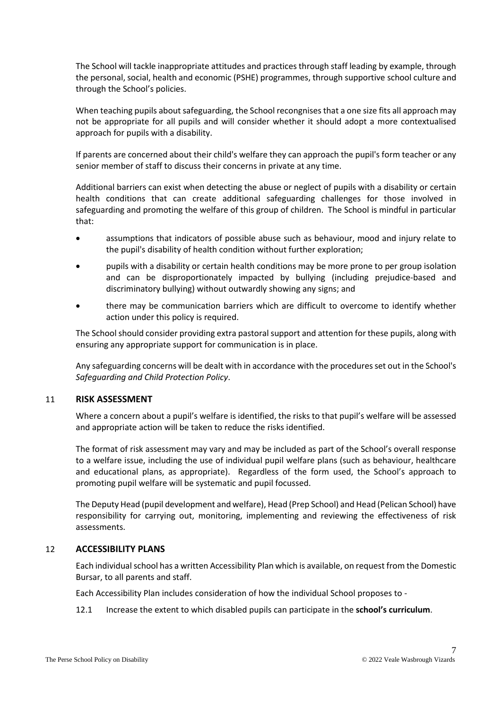The School will tackle inappropriate attitudes and practices through staff leading by example, through the personal, social, health and economic (PSHE) programmes, through supportive school culture and through the School's policies.

When teaching pupils about safeguarding, the School recongnises that a one size fits all approach may not be appropriate for all pupils and will consider whether it should adopt a more contextualised approach for pupils with a disability.

If parents are concerned about their child's welfare they can approach the pupil's form teacher or any senior member of staff to discuss their concerns in private at any time.

Additional barriers can exist when detecting the abuse or neglect of pupils with a disability or certain health conditions that can create additional safeguarding challenges for those involved in safeguarding and promoting the welfare of this group of children. The School is mindful in particular that:

- assumptions that indicators of possible abuse such as behaviour, mood and injury relate to the pupil's disability of health condition without further exploration;
- pupils with a disability or certain health conditions may be more prone to per group isolation and can be disproportionately impacted by bullying (including prejudice-based and discriminatory bullying) without outwardly showing any signs; and
- there may be communication barriers which are difficult to overcome to identify whether action under this policy is required.

The School should consider providing extra pastoral support and attention for these pupils, along with ensuring any appropriate support for communication is in place.

Any safeguarding concerns will be dealt with in accordance with the procedures set out in the School's *Safeguarding and Child Protection Policy*.

### <span id="page-6-0"></span>11 **RISK ASSESSMENT**

Where a concern about a pupil's welfare is identified, the risks to that pupil's welfare will be assessed and appropriate action will be taken to reduce the risks identified.

The format of risk assessment may vary and may be included as part of the School's overall response to a welfare issue, including the use of individual pupil welfare plans (such as behaviour, healthcare and educational plans, as appropriate). Regardless of the form used, the School's approach to promoting pupil welfare will be systematic and pupil focussed.

The Deputy Head (pupil development and welfare), Head (Prep School) and Head (Pelican School) have responsibility for carrying out, monitoring, implementing and reviewing the effectiveness of risk assessments.

### <span id="page-6-1"></span>12 **ACCESSIBILITY PLANS**

Each individual school has a written Accessibility Plan which is available, on request from the Domestic Bursar, to all parents and staff.

Each Accessibility Plan includes consideration of how the individual School proposes to -

12.1 Increase the extent to which disabled pupils can participate in the **school's curriculum**.